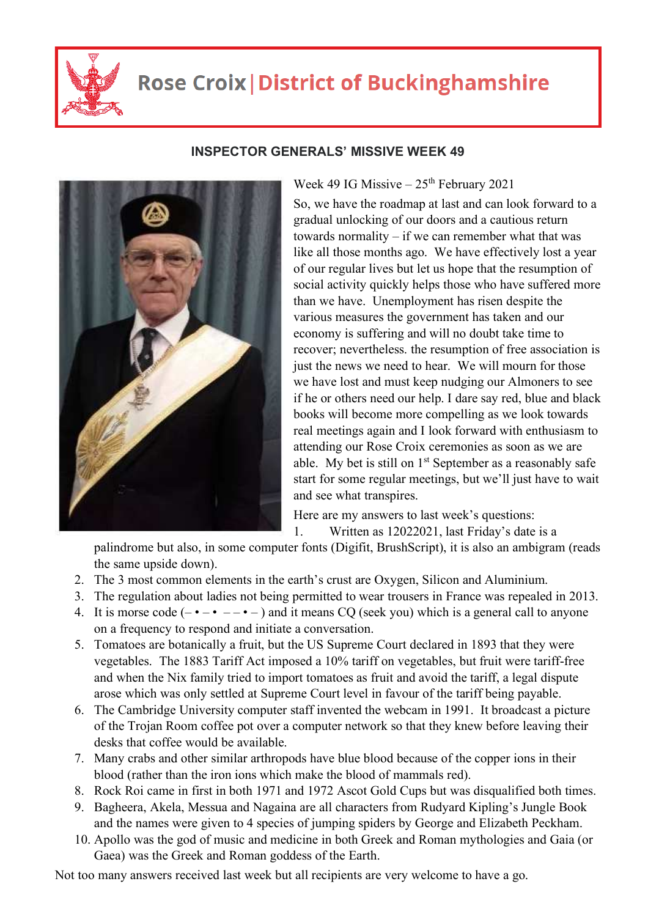

## **Rose Croix | District of Buckinghamshire**



## **INSPECTOR GENERALS' MISSIVE WEEK 49**

Week 49 IG Missive  $-25$ <sup>th</sup> February 2021

So, we have the roadmap at last and can look forward to a gradual unlocking of our doors and a cautious return towards normality – if we can remember what that was like all those months ago. We have effectively lost a year of our regular lives but let us hope that the resumption of social activity quickly helps those who have suffered more than we have. Unemployment has risen despite the various measures the government has taken and our economy is suffering and will no doubt take time to recover; nevertheless. the resumption of free association is just the news we need to hear. We will mourn for those we have lost and must keep nudging our Almoners to see if he or others need our help. I dare say red, blue and black books will become more compelling as we look towards real meetings again and I look forward with enthusiasm to attending our Rose Croix ceremonies as soon as we are able. My bet is still on  $1<sup>st</sup>$  September as a reasonably safe start for some regular meetings, but we'll just have to wait and see what transpires.

Here are my answers to last week's questions:

1. Written as 12022021, last Friday's date is a

palindrome but also, in some computer fonts (Digifit, BrushScript), it is also an ambigram (reads the same upside down).

- 2. The 3 most common elements in the earth's crust are Oxygen, Silicon and Aluminium.
- 3. The regulation about ladies not being permitted to wear trousers in France was repealed in 2013.
- 4. It is morse code  $(- \cdot \cdot \cdot -)$  and it means CQ (seek you) which is a general call to anyone on a frequency to respond and initiate a conversation.
- 5. Tomatoes are botanically a fruit, but the US Supreme Court declared in 1893 that they were vegetables. The 1883 Tariff Act imposed a 10% tariff on vegetables, but fruit were tariff-free and when the Nix family tried to import tomatoes as fruit and avoid the tariff, a legal dispute arose which was only settled at Supreme Court level in favour of the tariff being payable.
- 6. The Cambridge University computer staff invented the webcam in 1991. It broadcast a picture of the Trojan Room coffee pot over a computer network so that they knew before leaving their desks that coffee would be available.
- 7. Many crabs and other similar arthropods have blue blood because of the copper ions in their blood (rather than the iron ions which make the blood of mammals red).
- 8. Rock Roi came in first in both 1971 and 1972 Ascot Gold Cups but was disqualified both times.
- 9. Bagheera, Akela, Messua and Nagaina are all characters from Rudyard Kipling's Jungle Book and the names were given to 4 species of jumping spiders by George and Elizabeth Peckham.
- 10. Apollo was the god of music and medicine in both Greek and Roman mythologies and Gaia (or Gaea) was the Greek and Roman goddess of the Earth.

Not too many answers received last week but all recipients are very welcome to have a go.